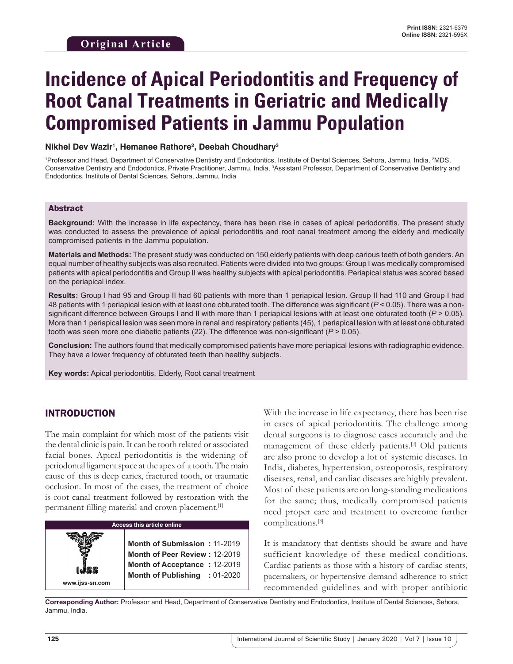# **Incidence of Apical Periodontitis and Frequency of Root Canal Treatments in Geriatric and Medically Compromised Patients in Jammu Population**

#### **Nikhel Dev Wazir1 , Hemanee Rathore2 , Deebah Choudhary3**

<sup>1</sup>Professor and Head, Department of Conservative Dentistry and Endodontics, Institute of Dental Sciences, Sehora, Jammu, India, <sup>2</sup>MDS, Conservative Dentistry and Endodontics, Private Practitioner, Jammu, India, <sup>3</sup>Assistant Professor, Department of Conservative Dentistry and Endodontics, Institute of Dental Sciences, Sehora, Jammu, India

#### Abstract

**Background:** With the increase in life expectancy, there has been rise in cases of apical periodontitis. The present study was conducted to assess the prevalence of apical periodontitis and root canal treatment among the elderly and medically compromised patients in the Jammu population.

**Materials and Methods:** The present study was conducted on 150 elderly patients with deep carious teeth of both genders. An equal number of healthy subjects was also recruited. Patients were divided into two groups: Group I was medically compromised patients with apical periodontitis and Group II was healthy subjects with apical periodontitis. Periapical status was scored based on the periapical index.

**Results:** Group I had 95 and Group II had 60 patients with more than 1 periapical lesion. Group II had 110 and Group I had 48 patients with 1 periapical lesion with at least one obturated tooth. The difference was significant (*P* < 0.05). There was a nonsignificant difference between Groups I and II with more than 1 periapical lesions with at least one obturated tooth (*P* > 0.05). More than 1 periapical lesion was seen more in renal and respiratory patients (45), 1 periapical lesion with at least one obturated tooth was seen more one diabetic patients (22). The difference was non-significant (*P* > 0.05).

**Conclusion:** The authors found that medically compromised patients have more periapical lesions with radiographic evidence. They have a lower frequency of obturated teeth than healthy subjects.

**Key words:** Apical periodontitis, Elderly, Root canal treatment

#### INTRODUCTION

The main complaint for which most of the patients visit the dental clinic is pain. It can be tooth related or associated facial bones. Apical periodontitis is the widening of periodontal ligament space at the apex of a tooth. The main cause of this is deep caries, fractured tooth, or traumatic occlusion. In most of the cases, the treatment of choice is root canal treatment followed by restoration with the permanent filling material and crown placement.<sup>[1]</sup>

## **Access this article online www.ijss-sn.com Month of Submission :** 11-2019 **Month of Peer Review :** 12-2019 **Month of Acceptance :** 12-2019 **Month of Publishing :** 01-2020

With the increase in life expectancy, there has been rise in cases of apical periodontitis. The challenge among dental surgeons is to diagnose cases accurately and the management of these elderly patients.<sup>[2]</sup> Old patients are also prone to develop a lot of systemic diseases. In India, diabetes, hypertension, osteoporosis, respiratory diseases, renal, and cardiac diseases are highly prevalent. Most of these patients are on long-standing medications for the same; thus, medically compromised patients need proper care and treatment to overcome further complications.[3]

It is mandatory that dentists should be aware and have sufficient knowledge of these medical conditions. Cardiac patients as those with a history of cardiac stents, pacemakers, or hypertensive demand adherence to strict recommended guidelines and with proper antibiotic

**Corresponding Author:** Professor and Head, Department of Conservative Dentistry and Endodontics, Institute of Dental Sciences, Sehora, Jammu, India.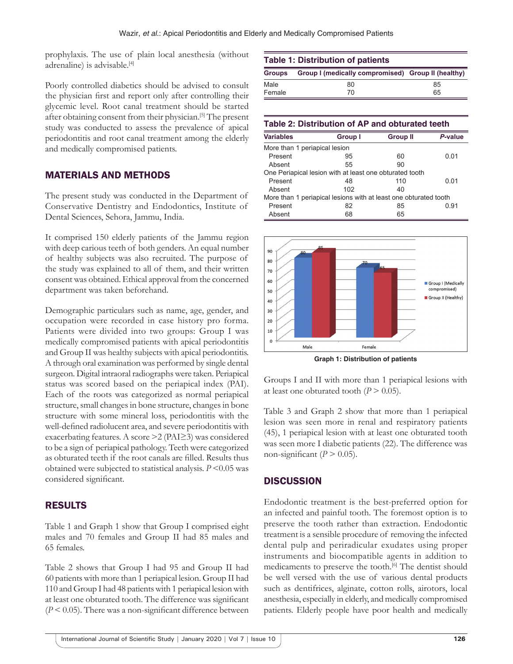prophylaxis. The use of plain local anesthesia (without adrenaline) is advisable.<sup>[4]</sup>

Poorly controlled diabetics should be advised to consult the physician first and report only after controlling their glycemic level. Root canal treatment should be started after obtaining consent from their physician.[5] The present study was conducted to assess the prevalence of apical periodontitis and root canal treatment among the elderly and medically compromised patients.

## MATERIALS AND METHODS

The present study was conducted in the Department of Conservative Dentistry and Endodontics, Institute of Dental Sciences, Sehora, Jammu, India.

It comprised 150 elderly patients of the Jammu region with deep carious teeth of both genders. An equal number of healthy subjects was also recruited. The purpose of the study was explained to all of them, and their written consent was obtained. Ethical approval from the concerned department was taken beforehand.

Demographic particulars such as name, age, gender, and occupation were recorded in case history pro forma. Patients were divided into two groups: Group I was medically compromised patients with apical periodontitis and Group II was healthy subjects with apical periodontitis. A through oral examination was performed by single dental surgeon. Digital intraoral radiographs were taken. Periapical status was scored based on the periapical index (PAI). Each of the roots was categorized as normal periapical structure, small changes in bone structure, changes in bone structure with some mineral loss, periodontitis with the well-defined radiolucent area, and severe periodontitis with exacerbating features. A score >2 (PAI≥3) was considered to be a sign of periapical pathology. Teeth were categorized as obturated teeth if the root canals are filled. Results thus obtained were subjected to statistical analysis. *P* <0.05 was considered significant.

## RESULTS

Table 1 and Graph 1 show that Group I comprised eight males and 70 females and Group II had 85 males and 65 females.

Table 2 shows that Group I had 95 and Group II had 60 patients with more than 1 periapical lesion. Group II had 110 and Group I had 48 patients with 1 periapical lesion with at least one obturated tooth. The difference was significant (*P* < 0.05). There was a non-significant difference between

| <b>Table 1: Distribution of patients</b> |                                                    |    |  |  |  |
|------------------------------------------|----------------------------------------------------|----|--|--|--|
| <b>Groups</b>                            | Group I (medically compromised) Group II (healthy) |    |  |  |  |
| Male                                     | 80                                                 | 85 |  |  |  |
| Female                                   | 70                                                 | 65 |  |  |  |

| Table 2: Distribution of AP and obturated teeth |                                                                  |                 |         |  |  |  |  |
|-------------------------------------------------|------------------------------------------------------------------|-----------------|---------|--|--|--|--|
| <b>Variables</b>                                | Group I                                                          | <b>Group II</b> | P-value |  |  |  |  |
| More than 1 periapical lesion                   |                                                                  |                 |         |  |  |  |  |
| Present                                         | 95                                                               | 60              | 0 Q1    |  |  |  |  |
| Absent                                          | 55                                                               | 90              |         |  |  |  |  |
|                                                 | One Periapical lesion with at least one obturated tooth          |                 |         |  |  |  |  |
| Present                                         | 48                                                               | 110             | 0 Q1    |  |  |  |  |
| Absent                                          | 102                                                              | 40              |         |  |  |  |  |
|                                                 | More than 1 periapical lesions with at least one obturated tooth |                 |         |  |  |  |  |
| Present                                         | 82                                                               | 85              | 0.91    |  |  |  |  |
| Absent                                          | 68                                                               | 65              |         |  |  |  |  |



**Graph 1: Distribution of patients**

Groups I and II with more than 1 periapical lesions with at least one obturated tooth  $(P > 0.05)$ .

Table 3 and Graph 2 show that more than 1 periapical lesion was seen more in renal and respiratory patients (45), 1 periapical lesion with at least one obturated tooth was seen more I diabetic patients (22). The difference was non-significant  $(P > 0.05)$ .

## **DISCUSSION**

Endodontic treatment is the best-preferred option for an infected and painful tooth. The foremost option is to preserve the tooth rather than extraction. Endodontic treatment is a sensible procedure of removing the infected dental pulp and periradicular exudates using proper instruments and biocompatible agents in addition to medicaments to preserve the tooth.[6] The dentist should be well versed with the use of various dental products such as dentifrices, alginate, cotton rolls, airotors, local anesthesia, especially in elderly, and medically compromised patients. Elderly people have poor health and medically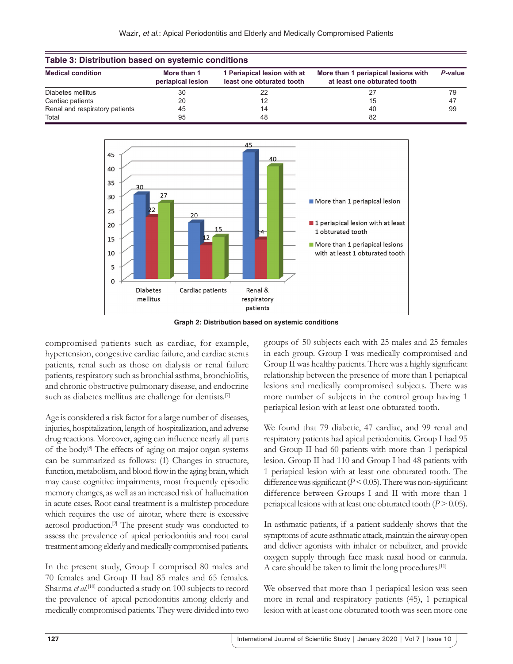| Table 3: Distribution based on systemic conditions |                                  |                                                          |                                                                     |         |  |  |  |
|----------------------------------------------------|----------------------------------|----------------------------------------------------------|---------------------------------------------------------------------|---------|--|--|--|
| <b>Medical condition</b>                           | More than 1<br>periapical lesion | 1 Periapical lesion with at<br>least one obturated tooth | More than 1 periapical lesions with<br>at least one obturated tooth | P-value |  |  |  |
| Diabetes mellitus                                  | 30                               | 22                                                       | 27                                                                  | 79      |  |  |  |
| Cardiac patients                                   | 20                               |                                                          | 15                                                                  | 47      |  |  |  |
| Renal and respiratory patients                     | 45                               | 14                                                       | 40                                                                  | 99      |  |  |  |
| Total                                              | 95                               | 48                                                       | 82                                                                  |         |  |  |  |



**Graph 2: Distribution based on systemic conditions**

compromised patients such as cardiac, for example, hypertension, congestive cardiac failure, and cardiac stents patients, renal such as those on dialysis or renal failure patients, respiratory such as bronchial asthma, bronchiolitis, and chronic obstructive pulmonary disease, and endocrine such as diabetes mellitus are challenge for dentists.<sup>[7]</sup>

Age is considered a risk factor for a large number of diseases, injuries, hospitalization, length of hospitalization, and adverse drug reactions. Moreover, aging can influence nearly all parts of the body.[8] The effects of aging on major organ systems can be summarized as follows: (1) Changes in structure, function, metabolism, and blood flow in the aging brain, which may cause cognitive impairments, most frequently episodic memory changes, as well as an increased risk of hallucination in acute cases. Root canal treatment is a multistep procedure which requires the use of airotar, where there is excessive aerosol production.[9] The present study was conducted to assess the prevalence of apical periodontitis and root canal treatment among elderly and medically compromised patients.

In the present study, Group I comprised 80 males and 70 females and Group II had 85 males and 65 females. Sharma et al.<sup>[10]</sup> conducted a study on 100 subjects to record the prevalence of apical periodontitis among elderly and medically compromised patients. They were divided into two

groups of 50 subjects each with 25 males and 25 females in each group. Group I was medically compromised and Group II was healthy patients. There was a highly significant relationship between the presence of more than 1 periapical lesions and medically compromised subjects. There was more number of subjects in the control group having 1 periapical lesion with at least one obturated tooth.

We found that 79 diabetic, 47 cardiac, and 99 renal and respiratory patients had apical periodontitis. Group I had 95 and Group II had 60 patients with more than 1 periapical lesion. Group II had 110 and Group I had 48 patients with 1 periapical lesion with at least one obturated tooth. The difference was significant  $(P < 0.05)$ . There was non-significant difference between Groups I and II with more than 1 periapical lesions with at least one obturated tooth  $(P > 0.05)$ .

In asthmatic patients, if a patient suddenly shows that the symptoms of acute asthmatic attack, maintain the airway open and deliver agonists with inhaler or nebulizer, and provide oxygen supply through face mask nasal hood or cannula. A care should be taken to limit the long procedures.[11]

We observed that more than 1 periapical lesion was seen more in renal and respiratory patients (45), 1 periapical lesion with at least one obturated tooth was seen more one